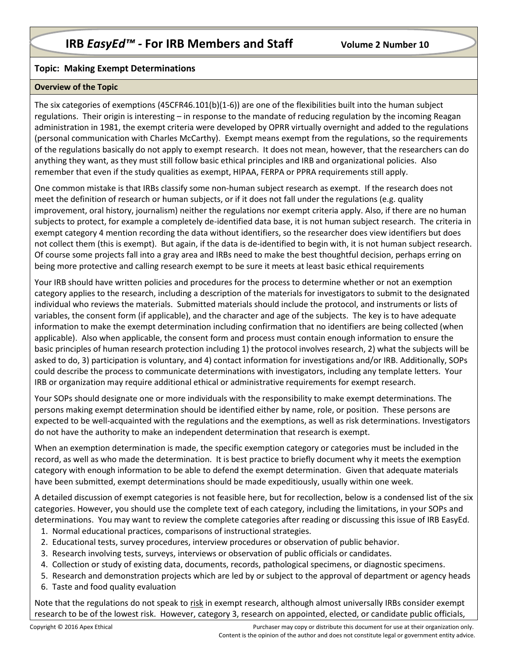## **Topic: Making Exempt Determinations**

## **Overview of the Topic**

The six categories of exemptions (45CFR46.101(b)(1-6)) are one of the flexibilities built into the human subject regulations. Their origin is interesting – in response to the mandate of reducing regulation by the incoming Reagan administration in 1981, the exempt criteria were developed by OPRR virtually overnight and added to the regulations (personal communication with Charles McCarthy). Exempt means exempt from the regulations, so the requirements of the regulations basically do not apply to exempt research. It does not mean, however, that the researchers can do anything they want, as they must still follow basic ethical principles and IRB and organizational policies. Also remember that even if the study qualities as exempt, HIPAA, FERPA or PPRA requirements still apply.

One common mistake is that IRBs classify some non-human subject research as exempt. If the research does not meet the definition of research or human subjects, or if it does not fall under the regulations (e.g. quality improvement, oral history, journalism) neither the regulations nor exempt criteria apply. Also, if there are no human subjects to protect, for example a completely de-identified data base, it is not human subject research. The criteria in exempt category 4 mention recording the data without identifiers, so the researcher does view identifiers but does not collect them (this is exempt). But again, if the data is de-identified to begin with, it is not human subject research. Of course some projects fall into a gray area and IRBs need to make the best thoughtful decision, perhaps erring on being more protective and calling research exempt to be sure it meets at least basic ethical requirements

Your IRB should have written policies and procedures for the process to determine whether or not an exemption category applies to the research, including a description of the materials for investigators to submit to the designated individual who reviews the materials. Submitted materials should include the protocol, and instruments or lists of variables, the consent form (if applicable), and the character and age of the subjects. The key is to have adequate information to make the exempt determination including confirmation that no identifiers are being collected (when applicable). Also when applicable, the consent form and process must contain enough information to ensure the basic principles of human research protection including 1) the protocol involves research, 2) what the subjects will be asked to do, 3) participation is voluntary, and 4) contact information for investigations and/or IRB. Additionally, SOPs could describe the process to communicate determinations with investigators, including any template letters. Your IRB or organization may require additional ethical or administrative requirements for exempt research.

Your SOPs should designate one or more individuals with the responsibility to make exempt determinations. The persons making exempt determination should be identified either by name, role, or position. These persons are expected to be well-acquainted with the regulations and the exemptions, as well as risk determinations. Investigators do not have the authority to make an independent determination that research is exempt.

When an exemption determination is made, the specific exemption category or categories must be included in the record, as well as who made the determination. It is best practice to briefly document why it meets the exemption category with enough information to be able to defend the exempt determination. Given that adequate materials have been submitted, exempt determinations should be made expeditiously, usually within one week.

A detailed discussion of exempt categories is not feasible here, but for recollection, below is a condensed list of the six categories. However, you should use the complete text of each category, including the limitations, in your SOPs and determinations. You may want to review the complete categories after reading or discussing this issue of IRB EasyEd.

- 1. Normal educational practices, comparisons of instructional strategies.
- 2. Educational tests, survey procedures, interview procedures or observation of public behavior.
- 3. Research involving tests, surveys, interviews or observation of public officials or candidates.
- 4. Collection or study of existing data, documents, records, pathological specimens, or diagnostic specimens.
- 5. Research and demonstration projects which are led by or subject to the approval of department or agency heads
- 6. Taste and food quality evaluation

Note that the regulations do not speak to risk in exempt research, although almost universally IRBs consider exempt research to be of the lowest risk. However, category 3, research on appointed, elected, or candidate public officials,